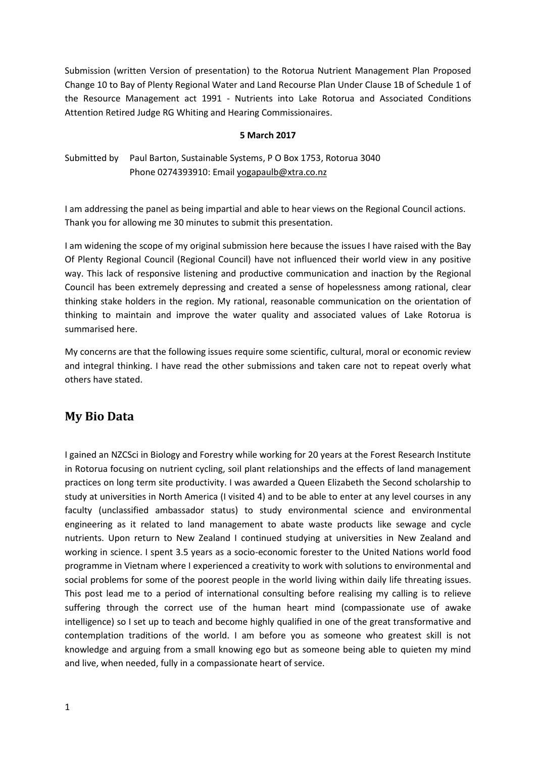Submission (written Version of presentation) to the Rotorua Nutrient Management Plan Proposed Change 10 to Bay of Plenty Regional Water and Land Recourse Plan Under Clause 1B of Schedule 1 of the Resource Management act 1991 - Nutrients into Lake Rotorua and Associated Conditions Attention Retired Judge RG Whiting and Hearing Commissionaires.

#### **5 March 2017**

### Submitted by Paul Barton, Sustainable Systems, P O Box 1753, Rotorua 3040 Phone 0274393910: Email [yogapaulb@xtra.co.nz](mailto:yogapaulb@xtra.co.nz)

I am addressing the panel as being impartial and able to hear views on the Regional Council actions. Thank you for allowing me 30 minutes to submit this presentation.

I am widening the scope of my original submission here because the issues I have raised with the Bay Of Plenty Regional Council (Regional Council) have not influenced their world view in any positive way. This lack of responsive listening and productive communication and inaction by the Regional Council has been extremely depressing and created a sense of hopelessness among rational, clear thinking stake holders in the region. My rational, reasonable communication on the orientation of thinking to maintain and improve the water quality and associated values of Lake Rotorua is summarised here.

My concerns are that the following issues require some scientific, cultural, moral or economic review and integral thinking. I have read the other submissions and taken care not to repeat overly what others have stated.

## **My Bio Data**

I gained an NZCSci in Biology and Forestry while working for 20 years at the Forest Research Institute in Rotorua focusing on nutrient cycling, soil plant relationships and the effects of land management practices on long term site productivity. I was awarded a Queen Elizabeth the Second scholarship to study at universities in North America (I visited 4) and to be able to enter at any level courses in any faculty (unclassified ambassador status) to study environmental science and environmental engineering as it related to land management to abate waste products like sewage and cycle nutrients. Upon return to New Zealand I continued studying at universities in New Zealand and working in science. I spent 3.5 years as a socio-economic forester to the United Nations world food programme in Vietnam where I experienced a creativity to work with solutions to environmental and social problems for some of the poorest people in the world living within daily life threating issues. This post lead me to a period of international consulting before realising my calling is to relieve suffering through the correct use of the human heart mind (compassionate use of awake intelligence) so I set up to teach and become highly qualified in one of the great transformative and contemplation traditions of the world. I am before you as someone who greatest skill is not knowledge and arguing from a small knowing ego but as someone being able to quieten my mind and live, when needed, fully in a compassionate heart of service.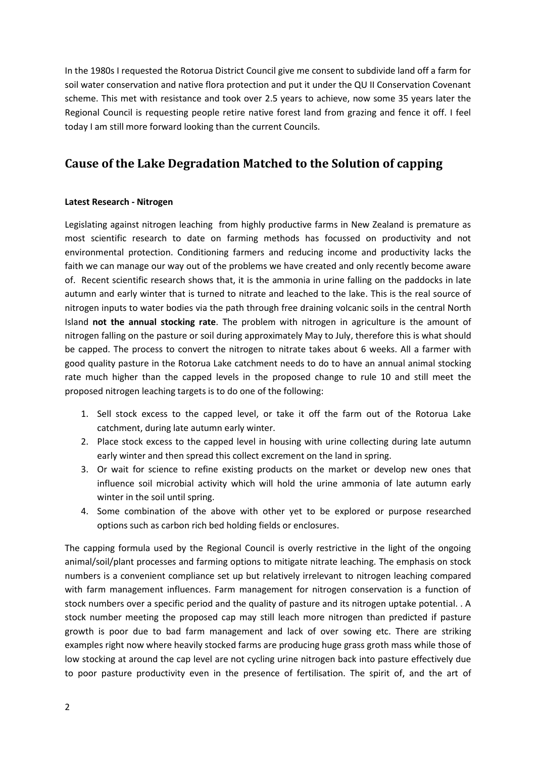In the 1980s I requested the Rotorua District Council give me consent to subdivide land off a farm for soil water conservation and native flora protection and put it under the QU II Conservation Covenant scheme. This met with resistance and took over 2.5 years to achieve, now some 35 years later the Regional Council is requesting people retire native forest land from grazing and fence it off. I feel today I am still more forward looking than the current Councils.

# **Cause of the Lake Degradation Matched to the Solution of capping**

### **Latest Research - Nitrogen**

Legislating against nitrogen leaching from highly productive farms in New Zealand is premature as most scientific research to date on farming methods has focussed on productivity and not environmental protection. Conditioning farmers and reducing income and productivity lacks the faith we can manage our way out of the problems we have created and only recently become aware of. Recent scientific research shows that, it is the ammonia in urine falling on the paddocks in late autumn and early winter that is turned to nitrate and leached to the lake. This is the real source of nitrogen inputs to water bodies via the path through free draining volcanic soils in the central North Island **not the annual stocking rate**. The problem with nitrogen in agriculture is the amount of nitrogen falling on the pasture or soil during approximately May to July, therefore this is what should be capped. The process to convert the nitrogen to nitrate takes about 6 weeks. All a farmer with good quality pasture in the Rotorua Lake catchment needs to do to have an annual animal stocking rate much higher than the capped levels in the proposed change to rule 10 and still meet the proposed nitrogen leaching targets is to do one of the following:

- 1. Sell stock excess to the capped level, or take it off the farm out of the Rotorua Lake catchment, during late autumn early winter.
- 2. Place stock excess to the capped level in housing with urine collecting during late autumn early winter and then spread this collect excrement on the land in spring.
- 3. Or wait for science to refine existing products on the market or develop new ones that influence soil microbial activity which will hold the urine ammonia of late autumn early winter in the soil until spring.
- 4. Some combination of the above with other yet to be explored or purpose researched options such as carbon rich bed holding fields or enclosures.

The capping formula used by the Regional Council is overly restrictive in the light of the ongoing animal/soil/plant processes and farming options to mitigate nitrate leaching. The emphasis on stock numbers is a convenient compliance set up but relatively irrelevant to nitrogen leaching compared with farm management influences. Farm management for nitrogen conservation is a function of stock numbers over a specific period and the quality of pasture and its nitrogen uptake potential. . A stock number meeting the proposed cap may still leach more nitrogen than predicted if pasture growth is poor due to bad farm management and lack of over sowing etc. There are striking examples right now where heavily stocked farms are producing huge grass groth mass while those of low stocking at around the cap level are not cycling urine nitrogen back into pasture effectively due to poor pasture productivity even in the presence of fertilisation. The spirit of, and the art of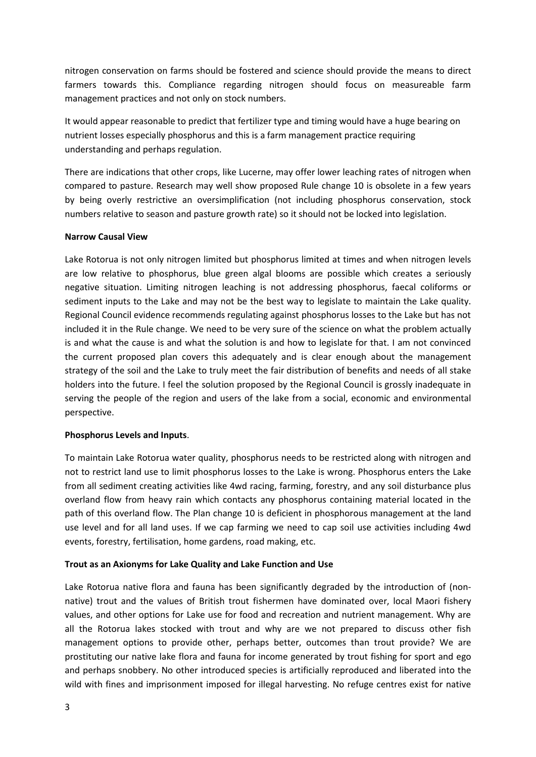nitrogen conservation on farms should be fostered and science should provide the means to direct farmers towards this. Compliance regarding nitrogen should focus on measureable farm management practices and not only on stock numbers.

It would appear reasonable to predict that fertilizer type and timing would have a huge bearing on nutrient losses especially phosphorus and this is a farm management practice requiring understanding and perhaps regulation.

There are indications that other crops, like Lucerne, may offer lower leaching rates of nitrogen when compared to pasture. Research may well show proposed Rule change 10 is obsolete in a few years by being overly restrictive an oversimplification (not including phosphorus conservation, stock numbers relative to season and pasture growth rate) so it should not be locked into legislation.

#### **Narrow Causal View**

Lake Rotorua is not only nitrogen limited but phosphorus limited at times and when nitrogen levels are low relative to phosphorus, blue green algal blooms are possible which creates a seriously negative situation. Limiting nitrogen leaching is not addressing phosphorus, faecal coliforms or sediment inputs to the Lake and may not be the best way to legislate to maintain the Lake quality. Regional Council evidence recommends regulating against phosphorus losses to the Lake but has not included it in the Rule change. We need to be very sure of the science on what the problem actually is and what the cause is and what the solution is and how to legislate for that. I am not convinced the current proposed plan covers this adequately and is clear enough about the management strategy of the soil and the Lake to truly meet the fair distribution of benefits and needs of all stake holders into the future. I feel the solution proposed by the Regional Council is grossly inadequate in serving the people of the region and users of the lake from a social, economic and environmental perspective.

#### **Phosphorus Levels and Inputs**.

To maintain Lake Rotorua water quality, phosphorus needs to be restricted along with nitrogen and not to restrict land use to limit phosphorus losses to the Lake is wrong. Phosphorus enters the Lake from all sediment creating activities like 4wd racing, farming, forestry, and any soil disturbance plus overland flow from heavy rain which contacts any phosphorus containing material located in the path of this overland flow. The Plan change 10 is deficient in phosphorous management at the land use level and for all land uses. If we cap farming we need to cap soil use activities including 4wd events, forestry, fertilisation, home gardens, road making, etc.

### **Trout as an Axionyms for Lake Quality and Lake Function and Use**

Lake Rotorua native flora and fauna has been significantly degraded by the introduction of (nonnative) trout and the values of British trout fishermen have dominated over, local Maori fishery values, and other options for Lake use for food and recreation and nutrient management. Why are all the Rotorua lakes stocked with trout and why are we not prepared to discuss other fish management options to provide other, perhaps better, outcomes than trout provide? We are prostituting our native lake flora and fauna for income generated by trout fishing for sport and ego and perhaps snobbery. No other introduced species is artificially reproduced and liberated into the wild with fines and imprisonment imposed for illegal harvesting. No refuge centres exist for native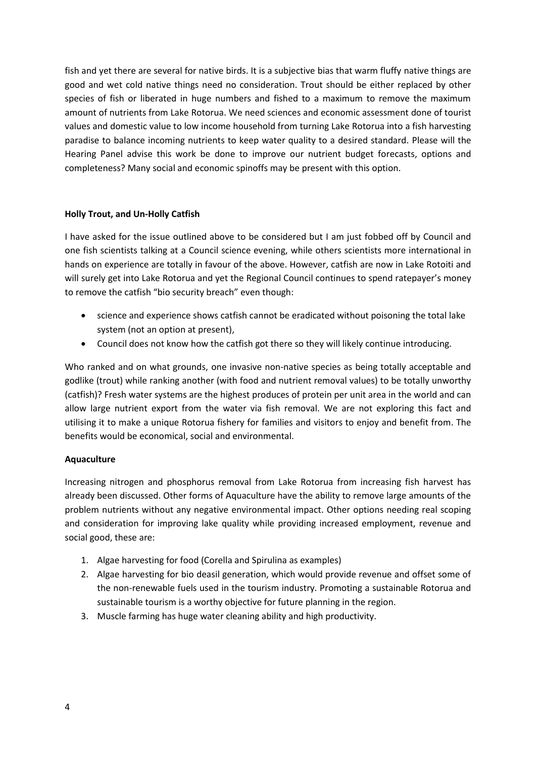fish and yet there are several for native birds. It is a subjective bias that warm fluffy native things are good and wet cold native things need no consideration. Trout should be either replaced by other species of fish or liberated in huge numbers and fished to a maximum to remove the maximum amount of nutrients from Lake Rotorua. We need sciences and economic assessment done of tourist values and domestic value to low income household from turning Lake Rotorua into a fish harvesting paradise to balance incoming nutrients to keep water quality to a desired standard. Please will the Hearing Panel advise this work be done to improve our nutrient budget forecasts, options and completeness? Many social and economic spinoffs may be present with this option.

#### **Holly Trout, and Un-Holly Catfish**

I have asked for the issue outlined above to be considered but I am just fobbed off by Council and one fish scientists talking at a Council science evening, while others scientists more international in hands on experience are totally in favour of the above. However, catfish are now in Lake Rotoiti and will surely get into Lake Rotorua and yet the Regional Council continues to spend ratepayer's money to remove the catfish "bio security breach" even though:

- science and experience shows catfish cannot be eradicated without poisoning the total lake system (not an option at present),
- Council does not know how the catfish got there so they will likely continue introducing.

Who ranked and on what grounds, one invasive non-native species as being totally acceptable and godlike (trout) while ranking another (with food and nutrient removal values) to be totally unworthy (catfish)? Fresh water systems are the highest produces of protein per unit area in the world and can allow large nutrient export from the water via fish removal. We are not exploring this fact and utilising it to make a unique Rotorua fishery for families and visitors to enjoy and benefit from. The benefits would be economical, social and environmental.

### **Aquaculture**

Increasing nitrogen and phosphorus removal from Lake Rotorua from increasing fish harvest has already been discussed. Other forms of Aquaculture have the ability to remove large amounts of the problem nutrients without any negative environmental impact. Other options needing real scoping and consideration for improving lake quality while providing increased employment, revenue and social good, these are:

- 1. Algae harvesting for food (Corella and Spirulina as examples)
- 2. Algae harvesting for bio deasil generation, which would provide revenue and offset some of the non-renewable fuels used in the tourism industry. Promoting a sustainable Rotorua and sustainable tourism is a worthy objective for future planning in the region.
- 3. Muscle farming has huge water cleaning ability and high productivity.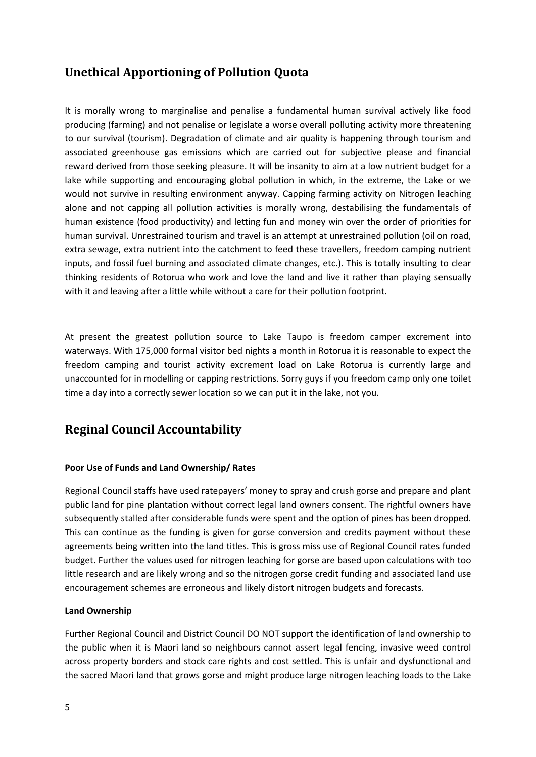## **Unethical Apportioning of Pollution Quota**

It is morally wrong to marginalise and penalise a fundamental human survival actively like food producing (farming) and not penalise or legislate a worse overall polluting activity more threatening to our survival (tourism). Degradation of climate and air quality is happening through tourism and associated greenhouse gas emissions which are carried out for subjective please and financial reward derived from those seeking pleasure. It will be insanity to aim at a low nutrient budget for a lake while supporting and encouraging global pollution in which, in the extreme, the Lake or we would not survive in resulting environment anyway. Capping farming activity on Nitrogen leaching alone and not capping all pollution activities is morally wrong, destabilising the fundamentals of human existence (food productivity) and letting fun and money win over the order of priorities for human survival. Unrestrained tourism and travel is an attempt at unrestrained pollution (oil on road, extra sewage, extra nutrient into the catchment to feed these travellers, freedom camping nutrient inputs, and fossil fuel burning and associated climate changes, etc.). This is totally insulting to clear thinking residents of Rotorua who work and love the land and live it rather than playing sensually with it and leaving after a little while without a care for their pollution footprint.

At present the greatest pollution source to Lake Taupo is freedom camper excrement into waterways. With 175,000 formal visitor bed nights a month in Rotorua it is reasonable to expect the freedom camping and tourist activity excrement load on Lake Rotorua is currently large and unaccounted for in modelling or capping restrictions. Sorry guys if you freedom camp only one toilet time a day into a correctly sewer location so we can put it in the lake, not you.

# **Reginal Council Accountability**

#### **Poor Use of Funds and Land Ownership/ Rates**

Regional Council staffs have used ratepayers' money to spray and crush gorse and prepare and plant public land for pine plantation without correct legal land owners consent. The rightful owners have subsequently stalled after considerable funds were spent and the option of pines has been dropped. This can continue as the funding is given for gorse conversion and credits payment without these agreements being written into the land titles. This is gross miss use of Regional Council rates funded budget. Further the values used for nitrogen leaching for gorse are based upon calculations with too little research and are likely wrong and so the nitrogen gorse credit funding and associated land use encouragement schemes are erroneous and likely distort nitrogen budgets and forecasts.

### **Land Ownership**

Further Regional Council and District Council DO NOT support the identification of land ownership to the public when it is Maori land so neighbours cannot assert legal fencing, invasive weed control across property borders and stock care rights and cost settled. This is unfair and dysfunctional and the sacred Maori land that grows gorse and might produce large nitrogen leaching loads to the Lake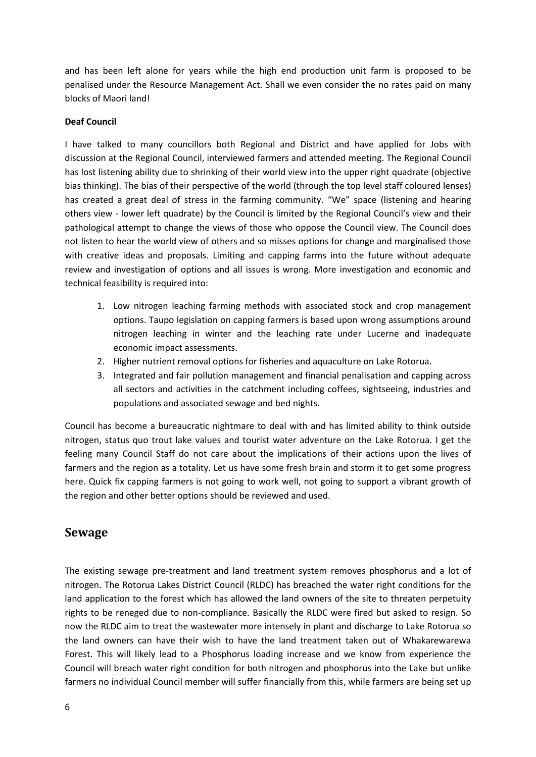and has been left alone for years while the high end production unit farm is proposed to be penalised under the Resource Management Act. Shall we even consider the no rates paid on many blocks of Maori land!

#### **Deaf Council**

I have talked to many councillors both Regional and District and have applied for Jobs with discussion at the Regional Council, interviewed farmers and attended meeting. The Regional Council has lost listening ability due to shrinking of their world view into the upper right quadrate (objective bias thinking). The bias of their perspective of the world (through the top level staff coloured lenses) has created a great deal of stress in the farming community. "We" space (listening and hearing others view - lower left quadrate) by the Council is limited by the Regional Council's view and their pathological attempt to change the views of those who oppose the Council view. The Council does not listen to hear the world view of others and so misses options for change and marginalised those with creative ideas and proposals. Limiting and capping farms into the future without adequate review and investigation of options and all issues is wrong. More investigation and economic and technical feasibility is required into:

- 1. Low nitrogen leaching farming methods with associated stock and crop management options. Taupo legislation on capping farmers is based upon wrong assumptions around nitrogen leaching in winter and the leaching rate under Lucerne and inadequate economic impact assessments.
- 2. Higher nutrient removal options for fisheries and aquaculture on Lake Rotorua.
- 3. Integrated and fair pollution management and financial penalisation and capping across all sectors and activities in the catchment including coffees, sightseeing, industries and populations and associated sewage and bed nights.

Council has become a bureaucratic nightmare to deal with and has limited ability to think outside nitrogen, status quo trout lake values and tourist water adventure on the Lake Rotorua. I get the feeling many Council Staff do not care about the implications of their actions upon the lives of farmers and the region as a totality. Let us have some fresh brain and storm it to get some progress here. Quick fix capping farmers is not going to work well, not going to support a vibrant growth of the region and other better options should be reviewed and used.

## **Sewage**

The existing sewage pre-treatment and land treatment system removes phosphorus and a lot of nitrogen. The Rotorua Lakes District Council (RLDC) has breached the water right conditions for the land application to the forest which has allowed the land owners of the site to threaten perpetuity rights to be reneged due to non-compliance. Basically the RLDC were fired but asked to resign. So now the RLDC aim to treat the wastewater more intensely in plant and discharge to Lake Rotorua so the land owners can have their wish to have the land treatment taken out of Whakarewarewa Forest. This will likely lead to a Phosphorus loading increase and we know from experience the Council will breach water right condition for both nitrogen and phosphorus into the Lake but unlike farmers no individual Council member will suffer financially from this, while farmers are being set up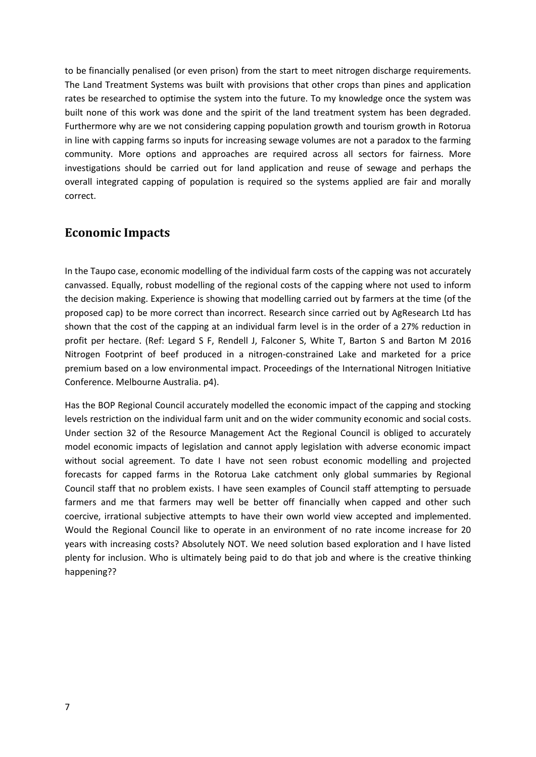to be financially penalised (or even prison) from the start to meet nitrogen discharge requirements. The Land Treatment Systems was built with provisions that other crops than pines and application rates be researched to optimise the system into the future. To my knowledge once the system was built none of this work was done and the spirit of the land treatment system has been degraded. Furthermore why are we not considering capping population growth and tourism growth in Rotorua in line with capping farms so inputs for increasing sewage volumes are not a paradox to the farming community. More options and approaches are required across all sectors for fairness. More investigations should be carried out for land application and reuse of sewage and perhaps the overall integrated capping of population is required so the systems applied are fair and morally correct.

### **Economic Impacts**

In the Taupo case, economic modelling of the individual farm costs of the capping was not accurately canvassed. Equally, robust modelling of the regional costs of the capping where not used to inform the decision making. Experience is showing that modelling carried out by farmers at the time (of the proposed cap) to be more correct than incorrect. Research since carried out by AgResearch Ltd has shown that the cost of the capping at an individual farm level is in the order of a 27% reduction in profit per hectare. (Ref: Legard S F, Rendell J, Falconer S, White T, Barton S and Barton M 2016 Nitrogen Footprint of beef produced in a nitrogen-constrained Lake and marketed for a price premium based on a low environmental impact. Proceedings of the International Nitrogen Initiative Conference. Melbourne Australia. p4).

Has the BOP Regional Council accurately modelled the economic impact of the capping and stocking levels restriction on the individual farm unit and on the wider community economic and social costs. Under section 32 of the Resource Management Act the Regional Council is obliged to accurately model economic impacts of legislation and cannot apply legislation with adverse economic impact without social agreement. To date I have not seen robust economic modelling and projected forecasts for capped farms in the Rotorua Lake catchment only global summaries by Regional Council staff that no problem exists. I have seen examples of Council staff attempting to persuade farmers and me that farmers may well be better off financially when capped and other such coercive, irrational subjective attempts to have their own world view accepted and implemented. Would the Regional Council like to operate in an environment of no rate income increase for 20 years with increasing costs? Absolutely NOT. We need solution based exploration and I have listed plenty for inclusion. Who is ultimately being paid to do that job and where is the creative thinking happening??